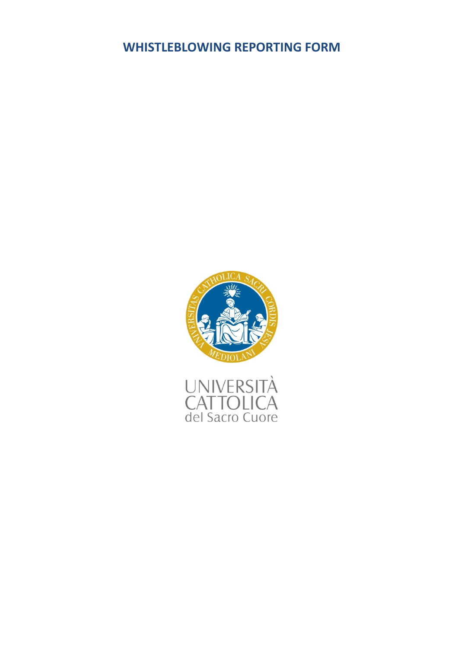# **WHISTLEBLOWING REPORTING FORM**



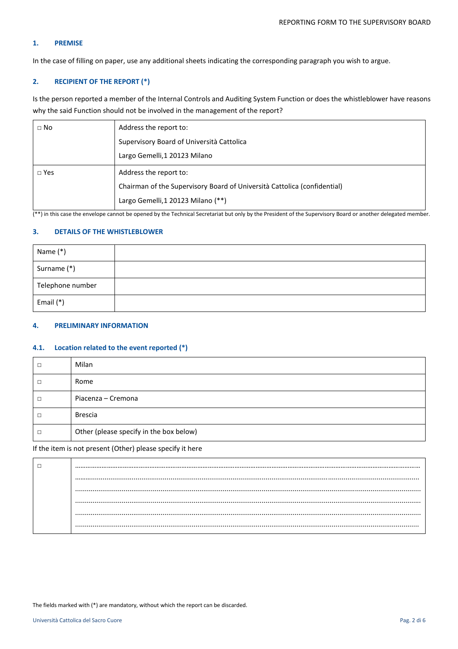# **1. PREMISE**

In the case of filling on paper, use any additional sheets indicating the corresponding paragraph you wish to argue.

# **2. RECIPIENT OF THE REPORT (\*)**

Is the person reported a member of the Internal Controls and Auditing System Function or does the whistleblower have reasons why the said Function should not be involved in the management of the report?

| $\Box$ No  | Address the report to:                                                   |
|------------|--------------------------------------------------------------------------|
|            | Supervisory Board of Università Cattolica                                |
|            | Largo Gemelli, 1 20123 Milano                                            |
| $\Box$ Yes | Address the report to:                                                   |
|            | Chairman of the Supervisory Board of Università Cattolica (confidential) |
|            | Largo Gemelli,1 20123 Milano (**)                                        |

 $(**)$  in this case the envelope cannot be opened by the Technical Secretariat but only by the President of the Supervisory Board or another delegated member.

# **3. DETAILS OF THE WHISTLEBLOWER**

| Name (*)         |  |
|------------------|--|
| Surname (*)      |  |
| Telephone number |  |
| Email $(*)$      |  |

# **4. PRELIMINARY INFORMATION**

### **4.1. Location related to the event reported (\*)**

|   | Milan                                   |
|---|-----------------------------------------|
|   | Rome                                    |
| □ | Piacenza – Cremona                      |
|   | <b>Brescia</b>                          |
| □ | Other (please specify in the box below) |

If the item is not present (Other) please specify it here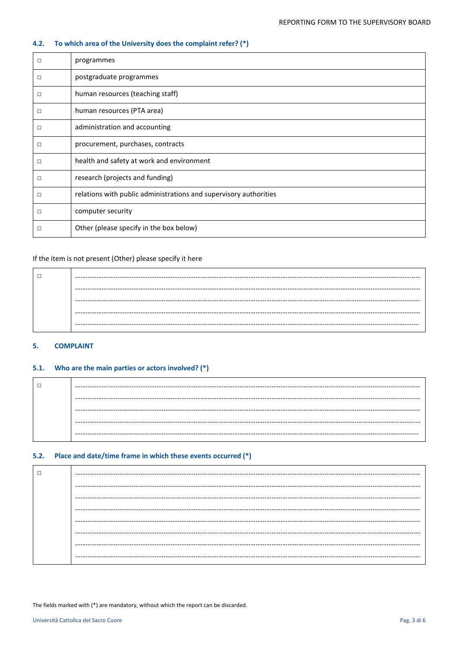# **4.2. To which area of the University does the complaint refer? (\*)**

| □      | programmes                                                        |
|--------|-------------------------------------------------------------------|
| □      | postgraduate programmes                                           |
| □      | human resources (teaching staff)                                  |
| □      | human resources (PTA area)                                        |
| □      | administration and accounting                                     |
| $\Box$ | procurement, purchases, contracts                                 |
| □      | health and safety at work and environment                         |
| □      | research (projects and funding)                                   |
| □      | relations with public administrations and supervisory authorities |
| □      | computer security                                                 |
| □      | Other (please specify in the box below)                           |

# If the item is not present (Other) please specify it here

| . |
|---|
|   |
| . |

# **5. COMPLAINT**

# **5.1. Who are the main parties or actors involved? (\*)**

# **5.2. Place and date/time frame in which these events occurred (\*)**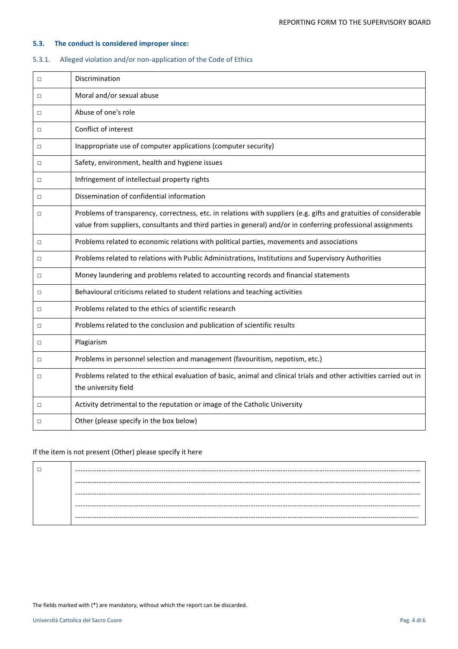# **5.3. The conduct is considered improper since:**

# 5.3.1. Alleged violation and/or non-application of the Code of Ethics

| $\Box$ | Discrimination                                                                                                                                                                                                                      |
|--------|-------------------------------------------------------------------------------------------------------------------------------------------------------------------------------------------------------------------------------------|
| $\Box$ | Moral and/or sexual abuse                                                                                                                                                                                                           |
| $\Box$ | Abuse of one's role                                                                                                                                                                                                                 |
| $\Box$ | Conflict of interest                                                                                                                                                                                                                |
| $\Box$ | Inappropriate use of computer applications (computer security)                                                                                                                                                                      |
| ◻      | Safety, environment, health and hygiene issues                                                                                                                                                                                      |
| $\Box$ | Infringement of intellectual property rights                                                                                                                                                                                        |
| П      | Dissemination of confidential information                                                                                                                                                                                           |
| $\Box$ | Problems of transparency, correctness, etc. in relations with suppliers (e.g. gifts and gratuities of considerable<br>value from suppliers, consultants and third parties in general) and/or in conferring professional assignments |
| $\Box$ | Problems related to economic relations with political parties, movements and associations                                                                                                                                           |
| $\Box$ | Problems related to relations with Public Administrations, Institutions and Supervisory Authorities                                                                                                                                 |
| $\Box$ | Money laundering and problems related to accounting records and financial statements                                                                                                                                                |
| $\Box$ | Behavioural criticisms related to student relations and teaching activities                                                                                                                                                         |
| $\Box$ | Problems related to the ethics of scientific research                                                                                                                                                                               |
| $\Box$ | Problems related to the conclusion and publication of scientific results                                                                                                                                                            |
| ◻      | Plagiarism                                                                                                                                                                                                                          |
| $\Box$ | Problems in personnel selection and management (favouritism, nepotism, etc.)                                                                                                                                                        |
| $\Box$ | Problems related to the ethical evaluation of basic, animal and clinical trials and other activities carried out in<br>the university field                                                                                         |
| $\Box$ | Activity detrimental to the reputation or image of the Catholic University                                                                                                                                                          |
| $\Box$ | Other (please specify in the box below)                                                                                                                                                                                             |

# If the item is not present (Other) please specify it here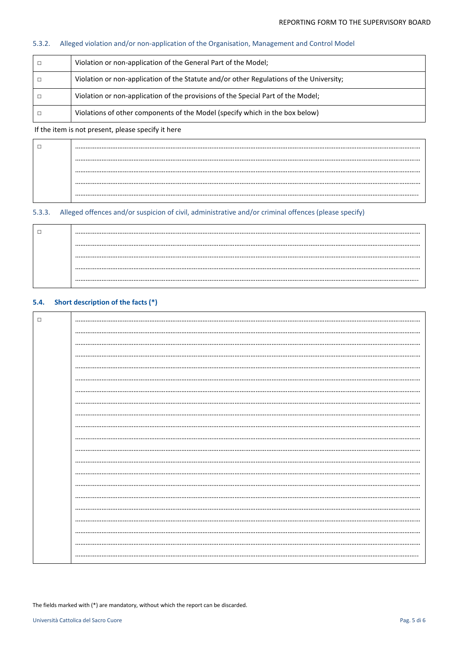#### $5.3.2.$ Alleged violation and/or non-application of the Organisation, Management and Control Model

| Violation or non-application of the General Part of the Model;                          |
|-----------------------------------------------------------------------------------------|
| Violation or non-application of the Statute and/or other Regulations of the University; |
| Violation or non-application of the provisions of the Special Part of the Model;        |
| Violations of other components of the Model (specify which in the box below)            |

## If the item is not present, please specify it here

### $5.3.3.$ Alleged offences and/or suspicion of civil, administrative and/or criminal offences (please specify)

#### Short description of the facts (\*)  $5.4.$

| П |  |
|---|--|
|   |  |
|   |  |
|   |  |
|   |  |
|   |  |
|   |  |
|   |  |
|   |  |
|   |  |
|   |  |
|   |  |
|   |  |
|   |  |
|   |  |
|   |  |
|   |  |
|   |  |
|   |  |
|   |  |
|   |  |